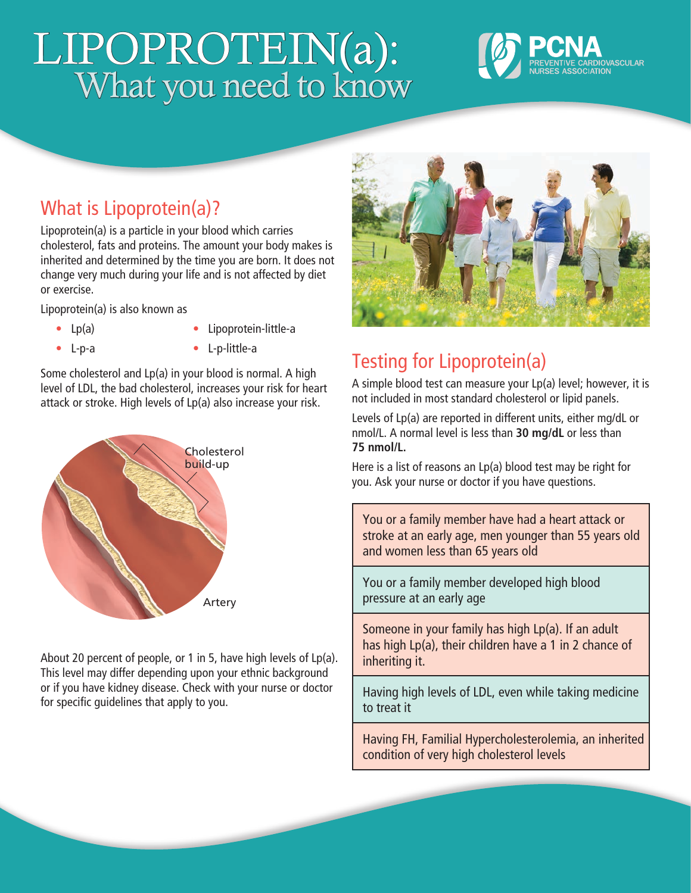# LIPOPROTEIN(a): What you need to know



## What is Lipoprotein(a)?

Lipoprotein(a) is a particle in your blood which carries cholesterol, fats and proteins. The amount your body makes is inherited and determined by the time you are born. It does not change very much during your life and is not affected by diet or exercise.

Lipoprotein(a) is also known as

**•** Lp(a)

**•** Lipoprotein-little-a

**•** L-p-a

**•** L-p-little-a

Some cholesterol and Lp(a) in your blood is normal. A high level of LDL, the bad cholesterol, increases your risk for heart attack or stroke. High levels of Lp(a) also increase your risk.



About 20 percent of people, or 1 in 5, have high levels of Lp(a). This level may differ depending upon your ethnic background or if you have kidney disease. Check with your nurse or doctor for specific guidelines that apply to you.



# Testing for Lipoprotein(a)

A simple blood test can measure your Lp(a) level; however, it is not included in most standard cholesterol or lipid panels.

Levels of Lp(a) are reported in different units, either mg/dL or nmol/L. A normal level is less than **30 mg/dL** or less than **75 nmol/L.** 

Here is a list of reasons an Lp(a) blood test may be right for you. Ask your nurse or doctor if you have questions.

You or a family member have had a heart attack or stroke at an early age, men younger than 55 years old and women less than 65 years old

You or a family member developed high blood pressure at an early age

Someone in your family has high Lp(a). If an adult has high Lp(a), their children have a 1 in 2 chance of inheriting it.

Having high levels of LDL, even while taking medicine to treat it

Having FH, Familial Hypercholesterolemia, an inherited condition of very high cholesterol levels